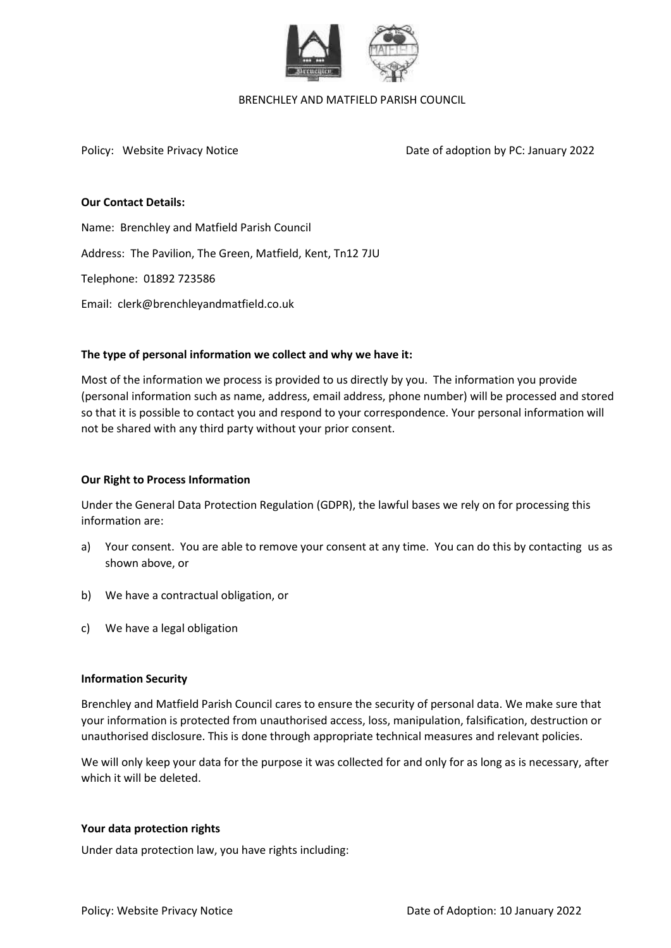

#### BRENCHLEY AND MATFIELD PARISH COUNCIL

Policy: Website Privacy Notice **Date of adoption by PC: January 2022** 

# **Our Contact Details:**

Name: Brenchley and Matfield Parish Council Address: The Pavilion, The Green, Matfield, Kent, Tn12 7JU Telephone: 01892 723586 Email: clerk@brenchleyandmatfield.co.uk

## **The type of personal information we collect and why we have it:**

Most of the information we process is provided to us directly by you. The information you provide (personal information such as name, address, email address, phone number) will be processed and stored so that it is possible to contact you and respond to your correspondence. Your personal information will not be shared with any third party without your prior consent.

# **Our Right to Process Information**

Under the General Data Protection Regulation (GDPR), the lawful bases we rely on for processing this information are:

- a) Your consent. You are able to remove your consent at any time. You can do this by contacting us as shown above, or
- b) We have a contractual obligation, or
- c) We have a legal obligation

## **Information Security**

Brenchley and Matfield Parish Council cares to ensure the security of personal data. We make sure that your information is protected from unauthorised access, loss, manipulation, falsification, destruction or unauthorised disclosure. This is done through appropriate technical measures and relevant policies.

We will only keep your data for the purpose it was collected for and only for as long as is necessary, after which it will be deleted.

## **Your data protection rights**

Under data protection law, you have rights including: